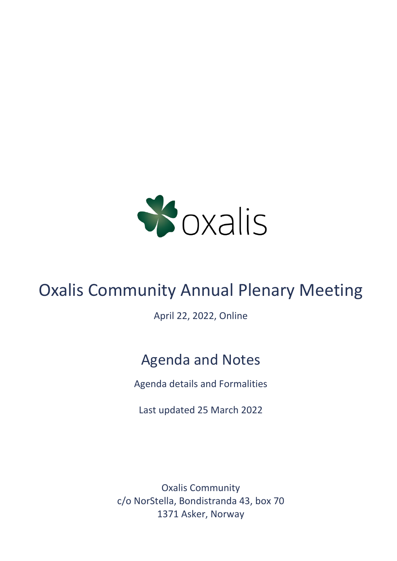

# Oxalis Community Annual Plenary Meeting

April 22, 2022, Online

# Agenda and Notes

Agenda details and Formalities

Last updated 25 March 2022

Oxalis Community c/o NorStella, Bondistranda 43, box 70 1371 Asker, Norway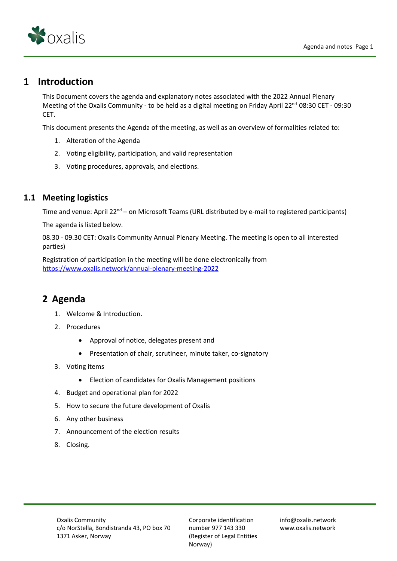

# **1 Introduction**

This Document covers the agenda and explanatory notes associated with the 2022 Annual Plenary Meeting of the Oxalis Community - to be held as a digital meeting on Friday April 22<sup>nd</sup> 08:30 CET - 09:30 CET.

This document presents the Agenda of the meeting, as well as an overview of formalities related to:

- 1. Alteration of the Agenda
- 2. Voting eligibility, participation, and valid representation
- 3. Voting procedures, approvals, and elections.

## **1.1 Meeting logistics**

Time and venue: April 22<sup>nd</sup> – on Microsoft Teams (URL distributed by e-mail to registered participants) The agenda is listed below.

08.30 - 09.30 CET: Oxalis Community Annual Plenary Meeting. The meeting is open to all interested parties)

Registration of participation in the meeting will be done electronically from <https://www.oxalis.network/annual-plenary-meeting-2022>

# **2 Agenda**

- 1. Welcome & Introduction.
- 2. Procedures
	- Approval of notice, delegates present and
	- Presentation of chair, scrutineer, minute taker, co-signatory
- 3. Voting items
	- Election of candidates for Oxalis Management positions
- 4. Budget and operational plan for 2022
- 5. How to secure the future development of Oxalis
- 6. Any other business
- 7. Announcement of the election results
- 8. Closing.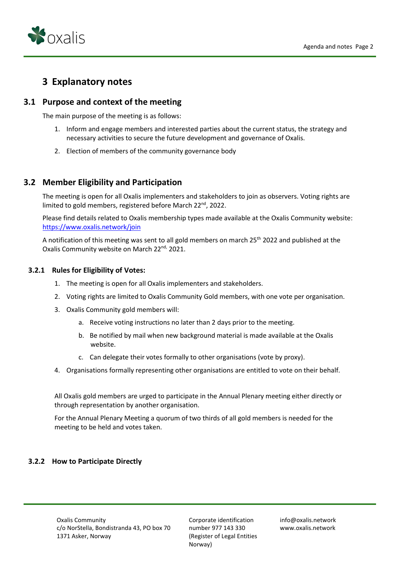

# **3 Explanatory notes**

### **3.1 Purpose and context of the meeting**

The main purpose of the meeting is as follows:

- 1. Inform and engage members and interested parties about the current status, the strategy and necessary activities to secure the future development and governance of Oxalis.
- 2. Election of members of the community governance body

## **3.2 Member Eligibility and Participation**

The meeting is open for all Oxalis implementers and stakeholders to join as observers. Voting rights are limited to gold members, registered before March 22<sup>nd</sup>, 2022.

Please find details related to Oxalis membership types made available at the Oxalis Community website: <https://www.oxalis.network/join>

A notification of this meeting was sent to all gold members on march 25<sup>th</sup> 2022 and published at the Oxalis Community website on March 22<sup>nd,</sup> 2021.

#### **3.2.1 Rules for Eligibility of Votes:**

- 1. The meeting is open for all Oxalis implementers and stakeholders.
- 2. Voting rights are limited to Oxalis Community Gold members, with one vote per organisation.
- 3. Oxalis Community gold members will:
	- a. Receive voting instructions no later than 2 days prior to the meeting.
	- b. Be notified by mail when new background material is made available at the Oxalis website.
	- c. Can delegate their votes formally to other organisations (vote by proxy).
- 4. Organisations formally representing other organisations are entitled to vote on their behalf.

All Oxalis gold members are urged to participate in the Annual Plenary meeting either directly or through representation by another organisation.

For the Annual Plenary Meeting a quorum of two thirds of all gold members is needed for the meeting to be held and votes taken.

#### **3.2.2 How to Participate Directly**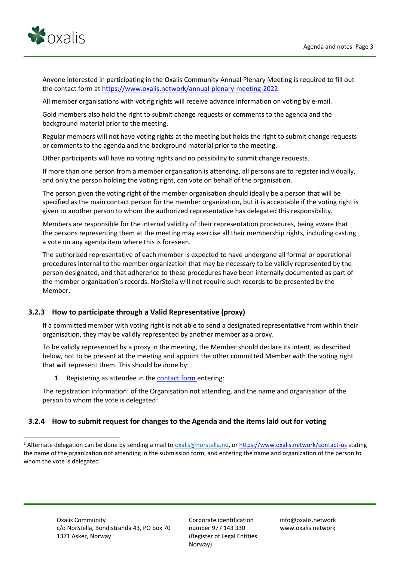

Anyone interested in participating in the Oxalis Community Annual Plenary Meeting is required to fill out the contact form at <https://www.oxalis.network/annual-plenary-meeting-2022>

All member organisations with voting rights will receive advance information on voting by e-mail.

Gold members also hold the right to submit change requests or comments to the agenda and the background material prior to the meeting.

Regular members will not have voting rights at the meeting but holds the right to submit change requests or comments to the agenda and the background material prior to the meeting.

Other participants will have no voting rights and no possibility to submit change requests.

If more than one person from a member organisation is attending, all persons are to register individually, and only the person holding the voting right, can vote on behalf of the organisation.

The person given the voting right of the member organisation should ideally be a person that will be specified as the main contact person for the member organization, but it is acceptable if the voting right is given to another person to whom the authorized representative has delegated this responsibility.

Members are responsible for the internal validity of their representation procedures, being aware that the persons representing them at the meeting may exercise all their membership rights, including casting a vote on any agenda item where this is foreseen.

The authorized representative of each member is expected to have undergone all formal or operational procedures internal to the member organization that may be necessary to be validly represented by the person designated, and that adherence to these procedures have been internally documented as part of the member organization's records. NorStella will not require such records to be presented by the Member.

#### **3.2.3 How to participate through a Valid Representative (proxy)**

If a committed member with voting right is not able to send a designated representative from within their organisation, they may be validly represented by another member as a proxy.

To be validly represented by a proxy in the meeting, the Member should declare its intent, as described below, not to be present at the meeting and appoint the other committed Member with the voting right that will represent them. This should be done by:

1. Registering as attendee in th[e contact form](https://www.oxalis.network/annual-plenary-meeting-2022) entering:

The registration information: of the Organisation not attending, and the name and organisation of the person to whom the vote is delegated<sup>1</sup>.

#### **3.2.4 How to submit request for changes to the Agenda and the items laid out for voting**

<sup>&</sup>lt;sup>1</sup> Alternate delegation can be done by sending a mail to *oxalis@norstella.no*, or<https://www.oxalis.network/contact-us> stating the name of the organization not attending in the submission form, and entering the name and organization of the person to whom the vote is delegated.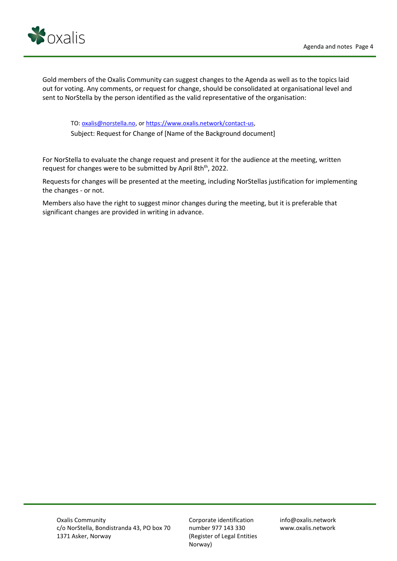

Gold members of the Oxalis Community can suggest changes to the Agenda as well as to the topics laid out for voting. Any comments, or request for change, should be consolidated at organisational level and sent to NorStella by the person identified as the valid representative of the organisation:

TO: [oxalis@norstella.no,](mailto:oxalis@norstella.no) or [https://www.oxalis.network/contact-us,](https://www.oxalis.network/contact-us) Subject: Request for Change of [Name of the Background document]

For NorStella to evaluate the change request and present it for the audience at the meeting, written request for changes were to be submitted by April 8th<sup>th</sup>, 2022.

Requests for changes will be presented at the meeting, including NorStellas justification for implementing the changes - or not.

Members also have the right to suggest minor changes during the meeting, but it is preferable that significant changes are provided in writing in advance.

Corporate identification number 977 143 330 (Register of Legal Entities Norway)

info@oxalis.network www.oxalis.network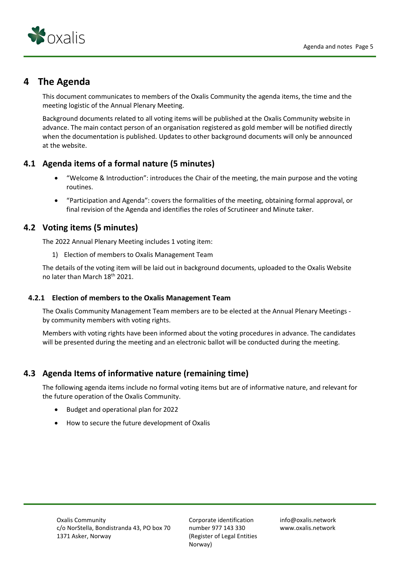

# **4 The Agenda**

This document communicates to members of the Oxalis Community the agenda items, the time and the meeting logistic of the Annual Plenary Meeting.

Background documents related to all voting items will be published at the Oxalis Community website in advance. The main contact person of an organisation registered as gold member will be notified directly when the documentation is published. Updates to other background documents will only be announced at the website.

# **4.1 Agenda items of a formal nature (5 minutes)**

- "Welcome & Introduction": introduces the Chair of the meeting, the main purpose and the voting routines.
- "Participation and Agenda": covers the formalities of the meeting, obtaining formal approval, or final revision of the Agenda and identifies the roles of Scrutineer and Minute taker.

## **4.2 Voting items (5 minutes)**

The 2022 Annual Plenary Meeting includes 1 voting item:

1) Election of members to Oxalis Management Team

The details of the voting item will be laid out in background documents, uploaded to the Oxalis Website no later than March 18th 2021.

#### **4.2.1 Election of members to the Oxalis Management Team**

The Oxalis Community Management Team members are to be elected at the Annual Plenary Meetings by community members with voting rights.

Members with voting rights have been informed about the voting procedures in advance. The candidates will be presented during the meeting and an electronic ballot will be conducted during the meeting.

## **4.3 Agenda Items of informative nature (remaining time)**

The following agenda items include no formal voting items but are of informative nature, and relevant for the future operation of the Oxalis Community.

- Budget and operational plan for 2022
- How to secure the future development of Oxalis